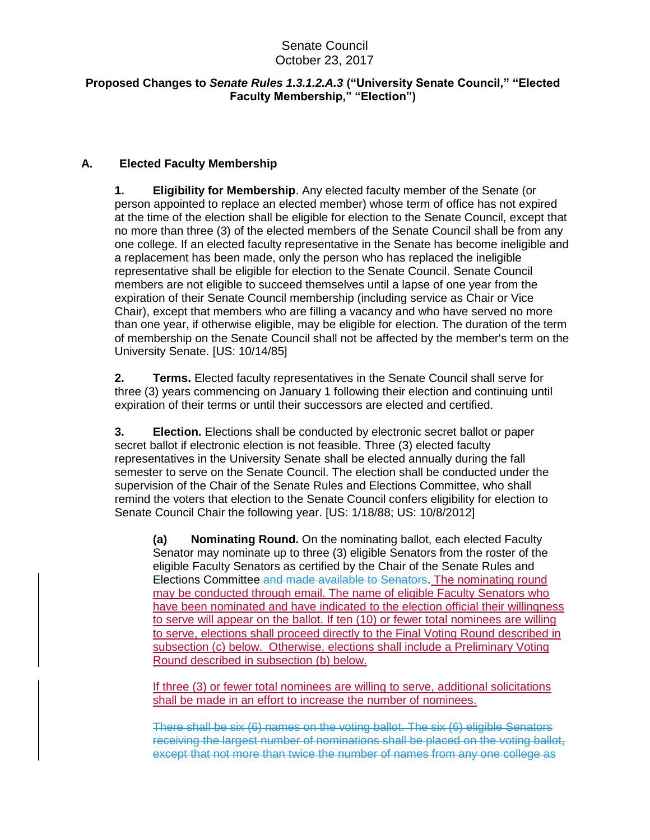# Senate Council October 23, 2017

#### **Proposed Changes to** *Senate Rules 1.3.1.2.A.3* **("University Senate Council," "Elected Faculty Membership," "Election")**

## **A. Elected Faculty Membership**

**1. Eligibility for Membership**. Any elected faculty member of the Senate (or person appointed to replace an elected member) whose term of office has not expired at the time of the election shall be eligible for election to the Senate Council, except that no more than three (3) of the elected members of the Senate Council shall be from any one college. If an elected faculty representative in the Senate has become ineligible and a replacement has been made, only the person who has replaced the ineligible representative shall be eligible for election to the Senate Council. Senate Council members are not eligible to succeed themselves until a lapse of one year from the expiration of their Senate Council membership (including service as Chair or Vice Chair), except that members who are filling a vacancy and who have served no more than one year, if otherwise eligible, may be eligible for election. The duration of the term of membership on the Senate Council shall not be affected by the member's term on the University Senate. [US: 10/14/85]

**2. Terms.** Elected faculty representatives in the Senate Council shall serve for three (3) years commencing on January 1 following their election and continuing until expiration of their terms or until their successors are elected and certified.

**3. Election.** Elections shall be conducted by electronic secret ballot or paper secret ballot if electronic election is not feasible. Three (3) elected faculty representatives in the University Senate shall be elected annually during the fall semester to serve on the Senate Council. The election shall be conducted under the supervision of the Chair of the Senate Rules and Elections Committee, who shall remind the voters that election to the Senate Council confers eligibility for election to Senate Council Chair the following year. [US: 1/18/88; US: 10/8/2012]

**(a) Nominating Round.** On the nominating ballot, each elected Faculty Senator may nominate up to three (3) eligible Senators from the roster of the eligible Faculty Senators as certified by the Chair of the Senate Rules and Elections Committee and made available to Senators. The nominating round may be conducted through email. The name of eligible Faculty Senators who have been nominated and have indicated to the election official their willingness to serve will appear on the ballot. If ten (10) or fewer total nominees are willing to serve, elections shall proceed directly to the Final Voting Round described in subsection (c) below. Otherwise, elections shall include a Preliminary Voting Round described in subsection (b) below.

If three (3) or fewer total nominees are willing to serve, additional solicitations shall be made in an effort to increase the number of nominees.

There shall be six (6) names on the voting ballot. The six (6) eligible Senators receiving the largest number of nominations shall be placed on the voting ballot, except that not more than twice the number of names from any one college as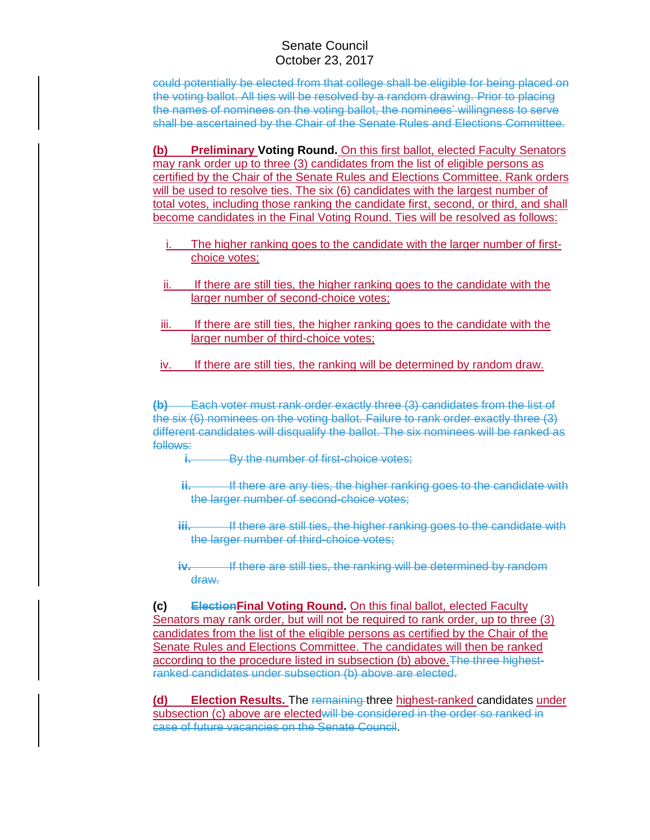### Senate Council October 23, 2017

could potentially be elected from that college shall be eligible for being placed on the voting ballot. All ties will be resolved by a random drawing. Prior to placing the names of nominees on the voting ballot, the nominees' willingness to serve shall be ascertained by the Chair of the Senate Rules and Elections Committee.

**(b) Preliminary Voting Round.** On this first ballot, elected Faculty Senators may rank order up to three (3) candidates from the list of eligible persons as certified by the Chair of the Senate Rules and Elections Committee. Rank orders will be used to resolve ties. The six (6) candidates with the largest number of total votes, including those ranking the candidate first, second, or third, and shall become candidates in the Final Voting Round. Ties will be resolved as follows:

- The higher ranking goes to the candidate with the larger number of firstchoice votes;
- ii. If there are still ties, the higher ranking goes to the candidate with the larger number of second-choice votes;
- iii. If there are still ties, the higher ranking goes to the candidate with the larger number of third-choice votes;
- iv. If there are still ties, the ranking will be determined by random draw.

**(b)** Each voter must rank order exactly three (3) candidates from the list of the six (6) nominees on the voting ballot. Failure to rank order exactly three (3) different candidates will disqualify the ballot. The six nominees will be ranked as follows:

**i.** By the number of first-choice votes:

- **ii.** If there are any ties, the higher ranking goes to the candidate with the larger number of second-choice votes;
- **iii.** If there are still ties, the higher ranking goes to the candidate with the larger number of third-choice votes;
- **iv.** If there are still ties, the ranking will be determined by random draw.

**(c) ElectionFinal Voting Round.** On this final ballot, elected Faculty Senators may rank order, but will not be required to rank order, up to three (3) candidates from the list of the eligible persons as certified by the Chair of the Senate Rules and Elections Committee. The candidates will then be ranked according to the procedure listed in subsection (b) above. The three highestranked candidates under subsection (b) above are elected.

**(d) Election Results.** The remaining three highest-ranked candidates under subsection (c) above are elected will be considered in the order so ranked in case of future vacancies on the Senate Council.